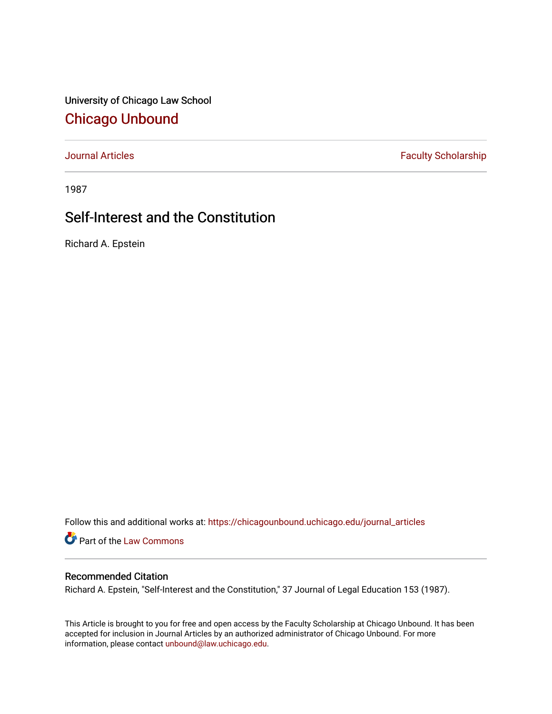University of Chicago Law School [Chicago Unbound](https://chicagounbound.uchicago.edu/)

[Journal Articles](https://chicagounbound.uchicago.edu/journal_articles) **Faculty Scholarship Faculty Scholarship** 

1987

# Self-Interest and the Constitution

Richard A. Epstein

Follow this and additional works at: [https://chicagounbound.uchicago.edu/journal\\_articles](https://chicagounbound.uchicago.edu/journal_articles?utm_source=chicagounbound.uchicago.edu%2Fjournal_articles%2F2423&utm_medium=PDF&utm_campaign=PDFCoverPages) 

Part of the [Law Commons](http://network.bepress.com/hgg/discipline/578?utm_source=chicagounbound.uchicago.edu%2Fjournal_articles%2F2423&utm_medium=PDF&utm_campaign=PDFCoverPages)

# Recommended Citation

Richard A. Epstein, "Self-Interest and the Constitution," 37 Journal of Legal Education 153 (1987).

This Article is brought to you for free and open access by the Faculty Scholarship at Chicago Unbound. It has been accepted for inclusion in Journal Articles by an authorized administrator of Chicago Unbound. For more information, please contact [unbound@law.uchicago.edu](mailto:unbound@law.uchicago.edu).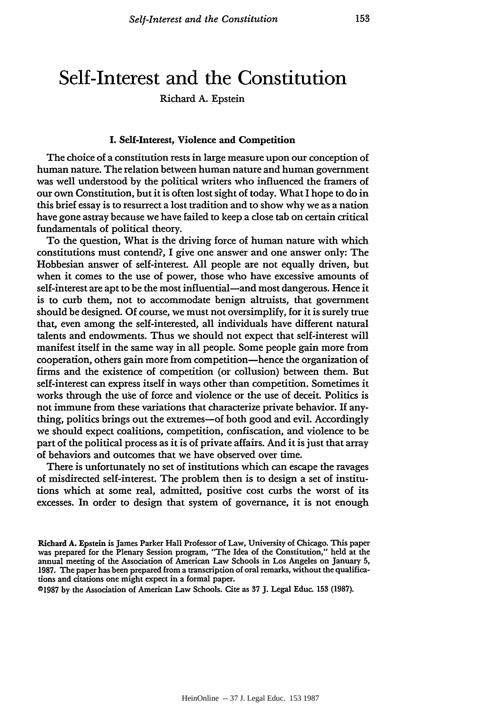# **Self-Interest and the Constitution**

Richard A. Epstein

#### **I.** Self-Interest, Violence and Competition

The choice of a constitution rests in large measure upon our conception of human nature. The relation between human nature and human government was well understood **by** the political writers who influenced the framers of our own Constitution, but it is often lost sight of today. What I hope to do in this brief essay is to resurrect a lost tradition and to show why we as a nation have gone astray because we have failed to keep a close tab on certain critical fundamentals of political theory.

To the question, What is the driving force of human nature with which constitutions must contend?, I give one answer and one answer only: The Hobbesian answer of self-interest. **All** people are not equally driven, but when it comes to the use of power, those who have excessive amounts of self-interest are apt to be the most influential—and most dangerous. Hence it is to curb them, not to accommodate benign altruists, that government should be designed. Of course, we must not oversimplify, for it is surely true that, even among the self-interested, all individuals have different natural talents and endowments. Thus we should not expect that self-interest will manifest itself in the same way in all people. Some people gain more from cooperation, others gain more from competition-hence the organization of firms and the existence of competition (or collusion) between them. But self-interest can express itself in ways other than competition. Sometimes it works through the use of force and violence or the use of deceit. Politics is not immune from these variations that characterize private behavior. If anything, politics brings out the extremes-of both good and evil. Accordingly we should expect coalitions, competition, confiscation, and violence to be part of the political process as it is of private affairs. And it is just that array of behaviors and outcomes that we have observed over time.

There is unfortunately no set of institutions which can escape the ravages of misdirected self-interest. The problem then is to design a set of institutions which at some real, admitted, positive cost curbs the worst of its excesses. In order to design that system of governance, it is not enough

**01987 by** the Association of American Law Schools. Cite as **37 J.** Legal Educ. **153 (1987).**

Richard **A.** Epstein is James Parker Hall Professor of Law, University of Chicago. This paper was prepared for the Plenary Session program, "The Idea of the Constitution," held at the annual meeting of the Association of American Law Schools in Los Angeles on January **5, 1987.** The paper has been prepared from a transcription of oral remarks, without the qualifications and citations one might expect in a formal paper.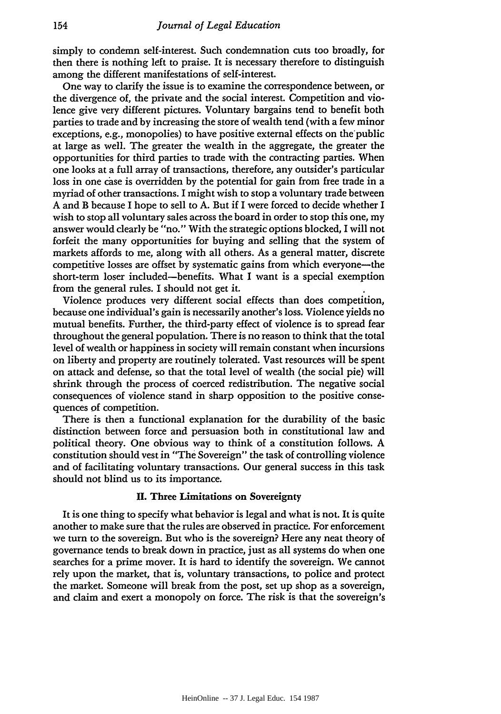simply to condemn self-interest. Such condemnation cuts too broadly, for then there is nothing left to praise. It is necessary therefore to distinguish among the different manifestations of self-interest.

One way to clarify the issue is to examine the correspondence between, or the divergence of, the private and the social interest. Competition and violence give very different pictures. Voluntary bargains tend to benefit both parties to trade and by increasing the store of wealth tend (with a few minor exceptions, e.g., monopolies) to have positive external effects on the'public at large as well. The greater the wealth in the aggregate, the greater the opportunities for third parties to trade with the contracting parties. When one looks at a full array of transactions, therefore, any outsider's particular loss in one case is overridden by the potential for gain from free trade in a myriad of other transactions. I might wish to stop a voluntary trade between A and B because I hope to sell to **A.** But if I were forced to decide whether I wish to stop all voluntary sales across the board in order to stop this one, my answer would clearly be "no." With the strategic options blocked, I will not forfeit the many opportunities for buying and selling that the system of markets affords to me, along with all others. As a general matter, discrete competitive losses are offset **by** systematic gains from which everyone-the short-term loser included-benefits. What I want is a special exemption from the general rules. I should not get it.

Violence produces very different social effects than does competition, because one individual's gain is necessarily another's loss. Violence yields no mutual benefits. Further, the third-party effect of violence is to spread fear throughout the general population. There is no reason to think that the total level of wealth or happiness in society will remain constant when incursions on liberty and property are routinely tolerated. Vast resources will be spent on attack and defense, so that the total level of wealth (the social pie) will shrink through the process of coerced redistribution. The negative social consequences of violence stand in sharp opposition to the positive consequences of competition.

There is then a functional explanation for the durability of the basic distinction between force and persuasion both in constitutional law and political theory. One obvious way to think of a constitution follows. A constitution should vest in "The Sovereign" the task of controlling violence and of facilitating voluntary transactions. Our general success in this task should **not** blind us to its importance.

## **II.** Three Limitations on Sovereignty

It is one thing to specify what behavior is legal and what is not. It is quite another to make sure that the rules are observed in practice. For enforcement we turn to the sovereign. But who is the sovereign? Here any neat theory of governance tends to break down in practice, just as all systems do when one searches for a prime mover. It is hard to identify the sovereign. We cannot rely upon the market, that is, voluntary transactions, to police and protect the market. Someone will break from the post, set up shop as a sovereign, and claim and exert a monopoly on force. The risk is that the sovereign's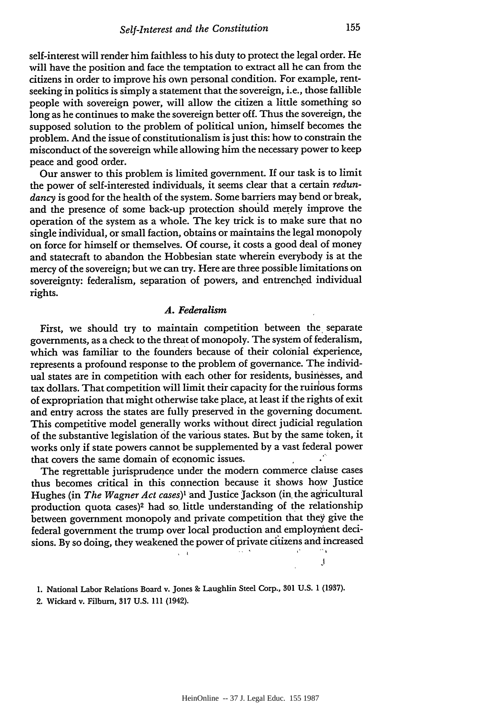self-interest will render him faithless to his duty to protect the legal order. He will have the position and face the temptation to extract all he can from the citizens in order to improve his own personal condition. For example, rentseeking in politics is simply a statement that the sovereign, i.e., those fallible people with sovereign power, will allow the citizen a little something so long as he continues to make the sovereign better off. Thus the sovereign, the supposed solution to the problem of political union, himself becomes the problem. And the issue of constitutionalism is just this: how to constrain the misconduct of the sovereign while allowing him the necessary power to keep peace and good order.

Our answer to this problem is limited government. If our task is to limit the power of self-interested individuals, it seems clear that a certain *redundancy* is good for the health of the system. Some barriers may bend or break, and the presence of some back-up protection should merely improve the operation of the system as a whole. The key trick is to make sure that no single individual, or small faction, obtains or maintains the legal monopoly on force for himself or themselves. Of course, it costs a good deal of money and statecraft to abandon the Hobbesian state wherein everybody is at the mercy of the sovereign; but we can try. Here are three possible limitations on sovereignty: federalism, separation of powers, and entrenched individual rights.

# *A. Federalism*

First, we should try to maintain competition between the separate governments, as a check to the threat of monopoly. The system of federalism, which was familiar to the founders because of their colonial experience, represents a profound response to the problem of governance. The individual states are in competition with each other for residents, businesses, and tax dollars. That competition will limit their capacity for the ruinous forms of expropriation that might otherwise take place, at least if the rights of exit and entry across the states are fully preserved in the governing document. This competitive model generally works without direct judicial regulation of the substantive legislation of the various states. But by the same token, it works only if state powers cannot be supplemented by a vast federal power that covers the same domain of economic issues.

The regrettable jurisprudence under the modern commerce clause cases thus becomes critical in this connection because it shows how Justice Hughes (in *The Wagner Act cases*)<sup>1</sup> and Justice Jackson (in the agricultural production quota cases)<sup>2</sup> had so, little understanding of the relationship between government monopoly and private competition that they give the federal government the trump over local production and employment decisions. By so doing, they weakened the power of private citizens and increased

 $\mathbf{J}$ 

2. Wickard v. Filburn, **317** U.S. 111 (1942).

<sup>1.</sup> National Labor Relations Board v. Jones **&** Laughlin Steel Corp., 301 U.S. 1 (1937).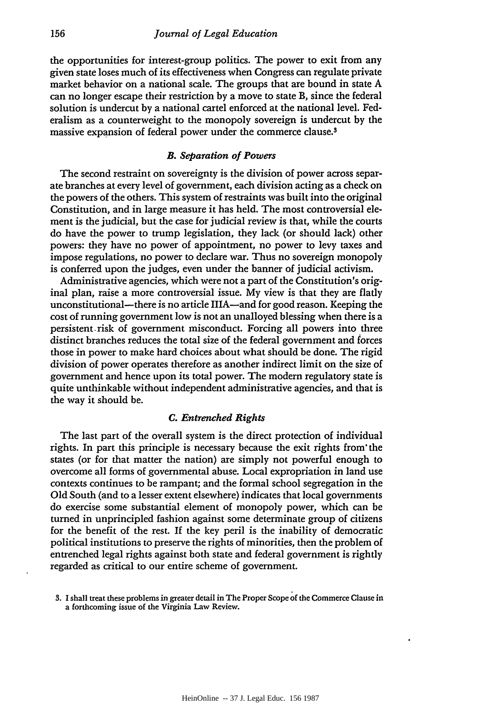the opportunities for interest-group politics. The power to exit from any given state loses much of its effectiveness when Congress can regulate private market behavior on a national scale. The groups that are bound in state A can no longer escape their restriction by a move to state B, since the federal solution is undercut by a national cartel enforced at the national level. Federalism as a counterweight to the monopoly sovereign is undercut by the massive expansion of federal power under the commerce clause.3

### *B. Separation of Powers*

The second restraint on sovereignty is the division of power across separate branches at every level of government, each division acting as a check on the powers of the others. This system of restraints was built into the original Constitution, and in large measure it has held. The most controversial element is the judicial, but the case for judicial review is that, while the courts do have the power to trump legislation, they lack (or should lack) other powers: they have no power of appointment, no power to levy taxes and impose regulations, no power to declare war. Thus no sovereign monopoly is conferred upon the judges, even under the banner of judicial activism.

Administrative agencies, which were not a part of the Constitution's original plan, raise a more controversial issue. My view is that they are flatly unconstitutional—there is no article IIIA—and for good reason. Keeping the cost of running government low is not an unalloyed blessing when there is a persistent.risk of government misconduct. Forcing all powers into three distinct branches reduces the total size of the federal government and forces those in power to make hard choices about what should be done. The rigid division of power operates therefore as another indirect limit on the size of government and hence upon its total power. The modem regulatory state is quite unthinkable without independent administrative agencies, and that is the way it should be.

### *C. Entrenched Rights*

The last part of the overall system is the direct protection of individual rights. In part this principle is necessary because the exit rights from the states (or for that matter the nation) are simply not powerful enough to overcome all forms of governmental abuse. Local expropriation in land use contexts continues to be rampant; and the formal school segregation in the Old South (and to a lesser extent elsewhere) indicates that local governments do exercise some substantial element of monopoly power, which can be turned in unprincipled fashion against some determinate group of citizens for the benefit of the rest. If the key peril is the inability of democratic political institutions to preserve the rights of minorities, then the problem of entrenched legal rights against both state and federal government is rightly regarded as critical to our entire scheme of government.

**<sup>3.</sup>** I shall treat these problems in greater detail in The Proper Scope of the Commerce Clause in a forthcoming issue of the Virginia Law Review.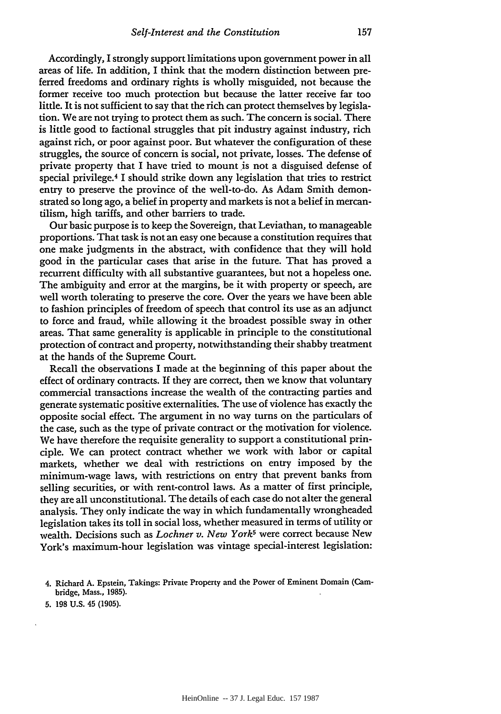Accordingly, I strongly support limitations upon government power in all areas of life. In addition, I think that the modern distinction between preferred freedoms and ordinary rights is wholly misguided, not because the former receive too much protection but because the latter receive far too little. It is not sufficient to say that the rich can protect themselves by legislation. We are not trying to protect them as such. The concern is social. There is little good to factional struggles that pit industry against industry, rich against rich, or poor against poor. But whatever the configuration of these struggles, the source of concern is social, not private, losses. The defense of private property that I have tried to mount is not a disguised defense of special privilege.4 I should strike down any legislation that tries to restrict entry to preserve the province of the well-to-do. As Adam Smith demonstrated so long ago, a belief in property and markets is not a belief in mercantilism, high tariffs, and other barriers to trade.

Our basic purpose is to keep the Sovereign, that Leviathan, to manageable proportions. That task is not an easy one because a constitution requires that one make judgments in the abstract, with confidence that they will hold good in the particular cases that arise in the future. That has proved a recurrent difficulty with all substantive guarantees, but not a hopeless one. The ambiguity and error at the margins, be it with property or speech, are well worth tolerating to preserve the core. Over the years we have been able to fashion principles of freedom of speech that control its use as an adjunct to force and fraud, while allowing it the broadest possible sway in other areas. That same generality is applicable in principle to the constitutional protection of contract and property, notwithstanding their shabby treatment at the hands of the Supreme Court.

Recall the observations I made at the beginning of this paper about the effect of ordinary contracts. If they are correct, then we know that voluntary commercial transactions increase the wealth of the contracting parties and generate systematic positive externalities. The use of violence has exactly the opposite social effect. The argument in no way turns on the particulars of the case, such as the type of private contract or the motivation for violence. We have therefore the requisite generality to support a constitutional principle. We can protect contract whether we work with labor or capital markets, whether we deal with restrictions on entry imposed by the minimum-wage laws, with restrictions on entry that prevent banks from selling securities, or with rent-control laws. As a matter of first principle, they are all unconstitutional. The details of each case do not alter the general analysis. They only indicate the way in which fundamentally wrongheaded legislation takes its toll in social loss, whether measured in terms of utility or wealth. Decisions such as *Lochner v. New York5* were correct because New York's maximum-hour legislation was vintage special-interest legislation:

<sup>4.</sup> Richard A. Epstein, Takings: Private Property and the Power of Eminent Domain (Cambridge, Mass., 1985).

**<sup>5. 198</sup> U.S.** 45 **(1905).**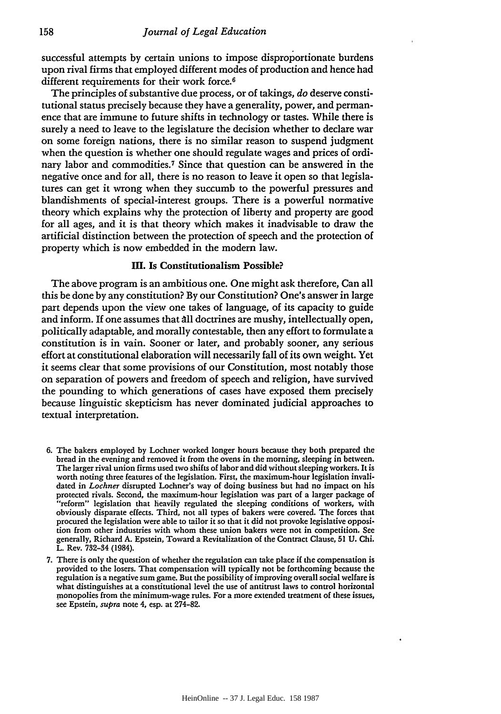successful attempts by certain unions to impose disproportionate burdens upon rival firms that employed different modes of production and hence had different requirements for their work force.<sup>6</sup>

The principles of substantive due process, or of takings, *do* deserve constitutional status precisely because they have a generality, power, and permanence that are immune to future shifts in technology or tastes. While there is surely a need to leave to the legislature the decision whether to declare war on some foreign nations, there is no similar reason to suspend judgment when the question is whether one should regulate wages and prices of ordinary labor and commodities.7 Since that question can be answered in the negative once and for all, there is no reason to leave it open so that legislatures can get it wrong when they succumb to the powerful pressures and blandishments of special-interest groups. There is a powerful normative theory which explains why the protection of liberty and property are good for all ages, and it is that theory which makes it inadvisable to draw the artificial distinction between the protection of speech and the protection of property which is now embedded in the modem law.

### **HI.** Is Constitutionalism Possible?

The above program is an ambitious one. One might ask therefore, Can all this be done **by** any constitution? By our Constitution? One's answer in large part depends upon the view one takes of language, of its capacity to guide and inform. If one assumes that all doctrines are mushy, intellectually open, politically adaptable, and morally contestable, then any effort to formulate a constitution is in vain. Sooner or later, and probably sooner, any serious effort at constitutional elaboration will necessarily fall of its own weight. Yet it seems clear that some provisions of our Constitution, most notably those on separation of powers and freedom of speech and religion, have survived the pounding to which generations of cases have exposed them precisely because linguistic skepticism has never dominated judicial approaches to textual interpretation.

- 6. The bakers employed **by** Lochner worked longer hours because they both prepared the bread in the evening and removed it from the ovens in the morning, sleeping in between. The larger rival union firms used two shifts of labor and did without sleeping workers. It is worth noting three features of the legislation. First, the maximum-hour legislation invalidated in *Lochner* disrupted Lochner's way of doing business but had no impact on his protected rivals. Second, the maximum-hour legislation was part of a larger package of "reform" legislation that heavily regulated the sleeping conditions of workers, with obviously disparate effects. Third, not all types of bakers were covered. The forces that procured the legislation were able to tailor it so that it did not provoke legislative opposition from other industries with whom these union bakers were not in competition. See generally, Richard A. Epstein, Toward a Revitalization of the Contract Clause, **51 U.** Chi. L. Rev. **732-34** (1984).
- **7.** There is only the question of whether the regulation can take place if the compensation is provided to the losers. That compensation will typically not be forthcoming because the regulation is a negative sum game. But the possibility of improving overall social welfare is what distinguishes at a constitutional level the use of antitrust laws to control horizontal .monopolies from the minimum-wage rules. For a more extended treatment of these issues, see Epstein, *supra* note 4, esp. at **274-82.**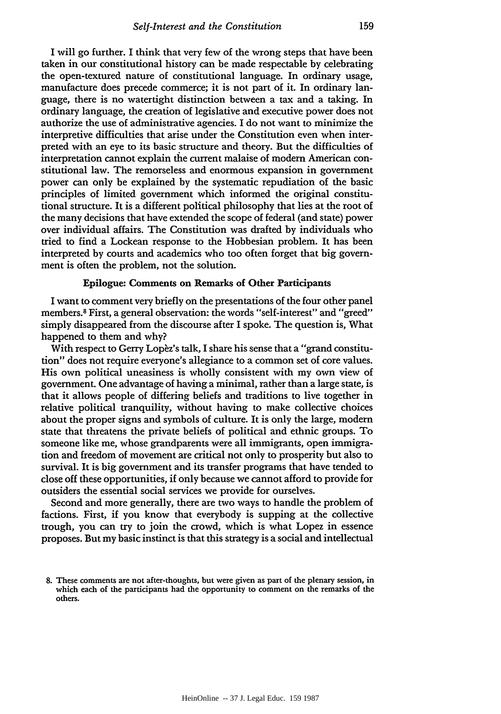I will go further. I think that very few of the wrong steps that have been taken in our constitutional history can be made respectable by celebrating the open-textured nature of constitutional language. In ordinary usage, manufacture does precede commerce; it is not part of it. In ordinary language, there is no watertight distinction between a tax and a taking. In ordinary language, the creation of legislative and executive power does not authorize the use of administrative agencies. I do not want to minimize the interpretive difficulties that arise under the Constitution even when interpreted with an eye to its basic structure and theory. But the difficulties of interpretation cannot explain the current malaise of modem American constitutional law. The remorseless and enormous expansion in government power can only be explained by the systematic repudiation of the basic principles of limited government which informed the original constitutional structure. It is a different political philosophy that lies at the root of the many decisions that have extended the scope of federal (and state) power over individual affairs. The Constitution was drafted by individuals who tried to find a Lockean response to the Hobbesian problem. It has been interpreted by courts and academics who too often forget that big government is often the problem, not the solution.

## Epilogue: Comments on Remarks of Other Participants

I want to comment very briefly on the presentations of the four other panel members.<sup>8</sup> First, a general observation: the words "self-interest" and "greed" simply disappeared from the discourse after I spoke. The question is, What happened to them and why?

With respect to Gerry Lopez's talk, I share his sense that a "grand constitution" does not require everyone's allegiance to a common set of core values. His own political uneasiness is wholly consistent with my own view of government. One advantage of having a minimal, rather than a large state, is that it allows people of differing beliefs and traditions to live together in relative political tranquility, without having to make collective choices about the proper signs and symbols of culture. It is only the large, modem state that threatens the private beliefs of political and ethnic groups. To someone like me, whose grandparents were all immigrants, open immigration and freedom of movement are critical not only to prosperity but also to survival. It is big government and its transfer programs that have tended to close off these opportunities, if only because we cannot afford to provide for outsiders the essential social services we provide for ourselves.

Second and more generally, there are two ways to handle the problem of factions. First, if you know that everybody is supping at the collective trough, you can try to join the crowd, which is what Lopez in essence proposes. But my basic instinct is that this strategy is a social and intellectual

<sup>8.</sup> These comments are not after-thoughts, but were given as part of the plenary session, in which each of the participants had the opportunity to comment on the remarks of the others.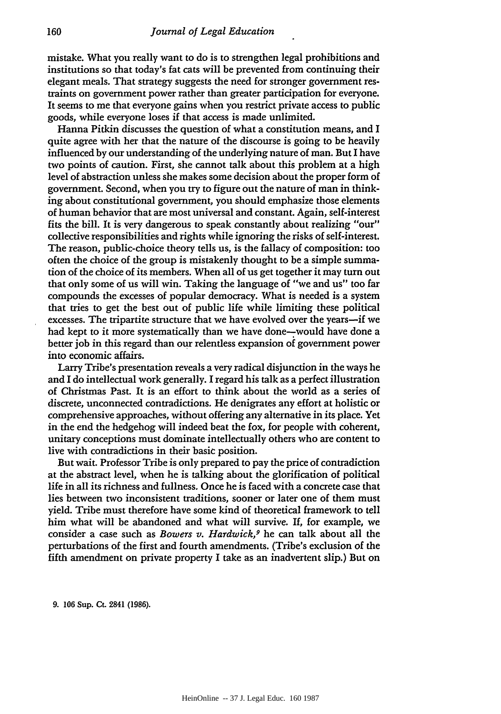mistake. What you really want to do is to strengthen legal prohibitions and institutions so that today's fat cats will be prevented from continuing their elegant meals. That strategy suggests the need for stronger government restraints on government power rather than greater participation for everyone. It seems to me that everyone gains when you restrict private access to public goods, while everyone loses if that access is made unlimited.

Hanna Pitkin discusses the question of what a constitution means, and I quite agree with her that the nature of the discourse is going to be heavily influenced by our understanding of the underlying nature of man. But I have two points of caution. First, she cannot talk about this problem at a high level of abstraction unless she makes some decision about the proper form of government. Second, when you try to figure out the nature of man in thinking about constitutional government, you should emphasize those elements of human behavior that are most universal and constant. Again, self-interest fits the bill. It is very dangerous to speak constantly about realizing *"our"* collective responsibilities and rights while ignoring the risks of self-interest. The reason, public-choice theory tells us, is the fallacy of composition: too often the choice of the group is mistakenly thought to be a simple summation of the choice of its members. When all of us get together it may turn out that only some of us will win. Taking the language of "we and us" too far compounds the excesses of popular democracy. What is needed is a system that tries to get the best out of public life while limiting these political excesses. The tripartite structure that we have evolved over the years-if we had kept to it more systematically than we have done-would have done a better **job** in this regard than our relentless expansion of government power into economic affairs.

Larry Tribe's presentation reveals a very radical disjunction in the ways he and I do intellectual work generally. I regard his talk as a perfect illustration of Christmas Past. It is an effort to think about the world as a series of discrete, unconnected contradictions. He denigrates any effort at holistic or comprehensive approaches, without offering any alternative in its place. Yet in the end the hedgehog will indeed beat the fox, for people with coherent, unitary conceptions must dominate intellectually others who are content to live with contradictions in their basic position.

But wait. Professor Tribe is only prepared to pay the price of contradiction at the abstract level, when he is talking about the glorification of political life in all its richness and fullness. Once he is faced with a concrete case that lies between two inconsistent traditions, sooner or later one of them must yield. Tribe must therefore have some kind of theoretical framework to tell him what will be abandoned and what will survive. If, for example, we consider a case such as *Bowers v. Hardwick,9* he can talk about all the perturbations of the first and fourth amendments. (Tribe's exclusion of the fifth amendment on private property I take as an inadvertent slip.) But on

**9. 106** Sup. *Ct.* 2841 **(1986).**